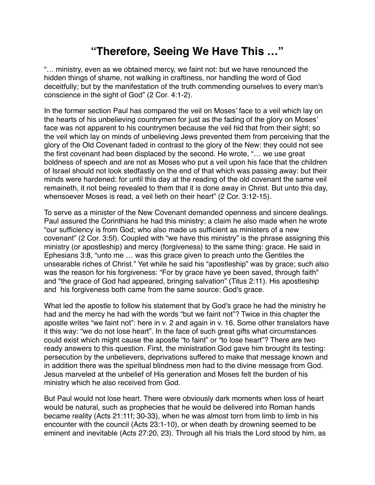## **"Therefore, Seeing We Have This …"**

"… ministry, even as we obtained mercy, we faint not: but we have renounced the hidden things of shame, not walking in craftiness, nor handling the word of God deceitfully; but by the manifestation of the truth commending ourselves to every man's conscience in the sight of God" (2 Cor. 4:1-2).

In the former section Paul has compared the veil on Moses' face to a veil which lay on the hearts of his unbelieving countrymen for just as the fading of the glory on Moses' face was not apparent to his countrymen because the veil hid that from their sight; so the veil which lay on minds of unbelieving Jews prevented them from perceiving that the glory of the Old Covenant faded in contrast to the glory of the New: they could not see the first covenant had been displaced by the second. He wrote, "… we use great boldness of speech and are not as Moses who put a veil upon his face that the children of Israel should not look stedfastly on the end of that which was passing away: but their minds were hardened: for until this day at the reading of the old covenant the same veil remaineth, it not being revealed to them that it is done away in Christ. But unto this day, whensoever Moses is read, a veil lieth on their heart" (2 Cor. 3:12-15).

To serve as a minister of the New Covenant demanded openness and sincere dealings. Paul assured the Corinthians he had this ministry; a claim he also made when he wrote "our sufficiency is from God; who also made us sufficient as ministers of a new covenant" (2 Cor. 3:5f). Coupled with "we have this ministry" is the phrase assigning this ministry (or apostleship) and mercy (forgiveness) to the same thing: grace. He said in Ephesians 3:8, "unto me … was this grace given to preach unto the Gentiles the unsearable riches of Christ." Yet while he said his "apostleship" was by grace; such also was the reason for his forgiveness: "For by grace have ye been saved, through faith" and "the grace of God had appeared, bringing salvation" (Titus 2:11). His apostleship and his forgiveness both came from the same source: God's grace.

What led the apostle to follow his statement that by God's grace he had the ministry he had and the mercy he had with the words "but we faint not"? Twice in this chapter the apostle writes "we faint not": here in v. 2 and again in v. 16. Some other translators have it this way: "we do not lose heart". In the face of such great gifts what circumstances could exist which might cause the apostle "to faint" or "to lose heart"? There are two ready answers to this question. First, the ministration God gave him brought its testing: persecution by the unbelievers, deprivations suffered to make that message known and in addition there was the spiritual blindness men had to the divine message from God. Jesus marveled at the unbelief of His generation and Moses felt the burden of his ministry which he also received from God.

But Paul would not lose heart. There were obviously dark moments when loss of heart would be natural, such as prophecies that he would be delivered into Roman hands became reality (Acts 21:11f; 30-33), when he was almost torn from limb to limb in his encounter with the council (Acts 23:1-10), or when death by drowning seemed to be eminent and inevitable (Acts 27:20, 23). Through all his trials the Lord stood by him, as